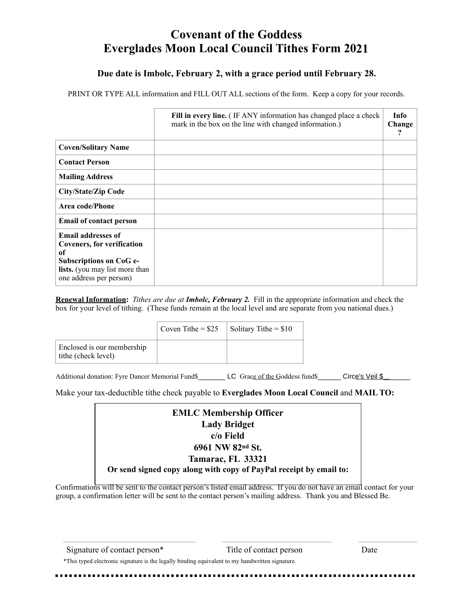## **Covenant of the Goddess Everglades Moon Local Council Tithes Form 20 21**

## **Due date is Imbolc, February 2, with a grace period until February 28.**

PRINT OR TYPE ALL information and FILL OUT ALL sections of the form. Keep a copy for your records.

|                                                                                                                                                              | Fill in every line. (IF ANY information has changed place a check<br>mark in the box on the line with changed information.) | <b>Info</b><br>Change |
|--------------------------------------------------------------------------------------------------------------------------------------------------------------|-----------------------------------------------------------------------------------------------------------------------------|-----------------------|
| <b>Coven/Solitary Name</b>                                                                                                                                   |                                                                                                                             |                       |
| <b>Contact Person</b>                                                                                                                                        |                                                                                                                             |                       |
| <b>Mailing Address</b>                                                                                                                                       |                                                                                                                             |                       |
| <b>City/State/Zip Code</b>                                                                                                                                   |                                                                                                                             |                       |
| Area code/Phone                                                                                                                                              |                                                                                                                             |                       |
| <b>Email of contact person</b>                                                                                                                               |                                                                                                                             |                       |
| <b>Email addresses of</b><br><b>Coveners, for verification</b><br>of<br>Subscriptions on CoG e-<br>lists. (you may list more than<br>one address per person) |                                                                                                                             |                       |

**Renewal Information:** *Tithes are due at Imbolc, February 2.* Fill in the appropriate information and check the box for your level of tithing. (These funds remain at the local level and are separate from you national dues.)

|                                                   | Coven Tithe = $$25$ | Solitary Tithe $= $10$ |
|---------------------------------------------------|---------------------|------------------------|
| Enclosed is our membership<br>tithe (check level) |                     |                        |

Additional donation: Fyre Dancer Memorial Fund\$\_\_\_\_\_\_\_ LC Grace of the Goddess fund\$\_\_\_\_\_\_ Circe's Veil \$\_\_\_\_

Make your tax-deductible tithe check payable to **Everglades Moon Local Council** and **MAIL TO:**

| <b>EMLC Membership Officer</b>                                     |
|--------------------------------------------------------------------|
| <b>Lady Bridget</b>                                                |
| c/o Field                                                          |
| 6961 NW 82nd St.                                                   |
| Tamarac, FL 33321                                                  |
| Or send signed copy along with copy of PayPal receipt by email to: |

Confirmations will be sent to the contact person's listed email address. If you do not have an email contact for your group, a confirmation letter will be sent to the contact person's mailing address. Thank you and Blessed Be.

\*This typed electronic signature is the legally binding equivalent to my handwritten signature.

Signature of contact person\* Title of contact person Date